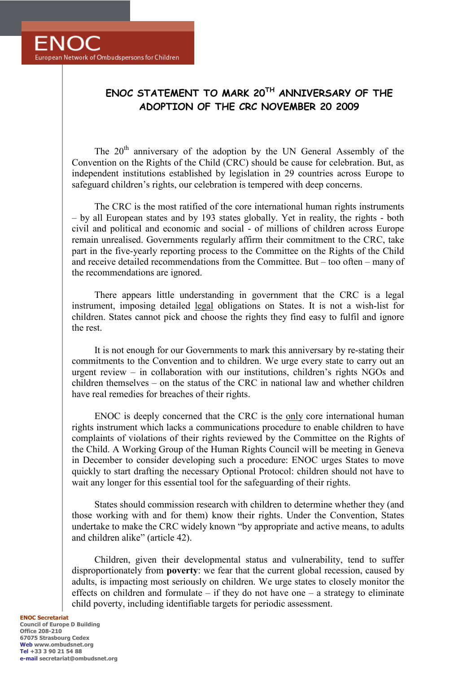## **ENOC STATEMENT TO MARK 20TH ANNIVERSARY OF THE ADOPTION OF THE CRC NOVEMBER 20 2009**

The 20<sup>th</sup> anniversary of the adoption by the UN General Assembly of the Convention on the Rights of the Child (CRC) should be cause for celebration. But, as independent institutions established by legislation in 29 countries across Europe to safeguard children's rights, our celebration is tempered with deep concerns.

The CRC is the most ratified of the core international human rights instruments – by all European states and by 193 states globally. Yet in reality, the rights - both civil and political and economic and social - of millions of children across Europe remain unrealised. Governments regularly affirm their commitment to the CRC, take part in the five-yearly reporting process to the Committee on the Rights of the Child and receive detailed recommendations from the Committee. But – too often – many of the recommendations are ignored.

There appears little understanding in government that the CRC is a legal instrument, imposing detailed legal obligations on States. It is not a wish-list for children. States cannot pick and choose the rights they find easy to fulfil and ignore the rest.

It is not enough for our Governments to mark this anniversary by re-stating their commitments to the Convention and to children. We urge every state to carry out an urgent review – in collaboration with our institutions, children's rights NGOs and children themselves – on the status of the CRC in national law and whether children have real remedies for breaches of their rights.

ENOC is deeply concerned that the CRC is the only core international human rights instrument which lacks a communications procedure to enable children to have complaints of violations of their rights reviewed by the Committee on the Rights of the Child. A Working Group of the Human Rights Council will be meeting in Geneva in December to consider developing such a procedure: ENOC urges States to move quickly to start drafting the necessary Optional Protocol: children should not have to wait any longer for this essential tool for the safeguarding of their rights.

States should commission research with children to determine whether they (and those working with and for them) know their rights. Under the Convention, States undertake to make the CRC widely known "by appropriate and active means, to adults and children alike" (article 42).

Children, given their developmental status and vulnerability, tend to suffer disproportionately from **poverty**: we fear that the current global recession, caused by adults, is impacting most seriously on children. We urge states to closely monitor the effects on children and formulate – if they do not have one – a strategy to eliminate child poverty, including identifiable targets for periodic assessment.

## **ENOC Secretariat Council of Europe D Building Office 208-210 67075 Strasbourg Cedex Web www.ombudsnet.org Tel +33 3 90 21 54 88 e-mail secretariat@ombudsnet.org**